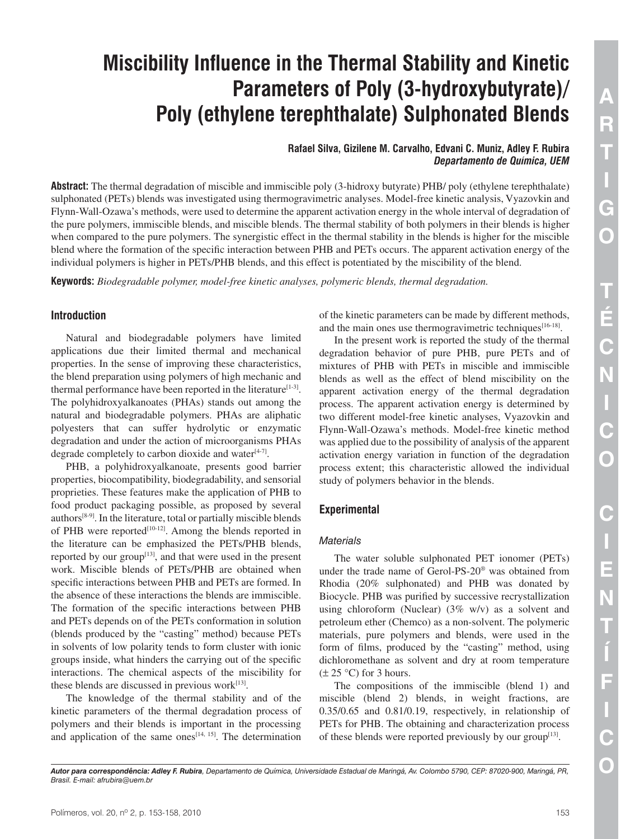# **Miscibility Influence in the Thermal Stability and Kinetic Parameters of Poly (3-hydroxybutyrate)/ Poly (ethylene terephthalate) Sulphonated Blends**

**Rafael Silva, Gizilene M. Carvalho, Edvani C. Muniz, Adley F. Rubira** *Departamento de Química, UEM*

**Abstract:** The thermal degradation of miscible and immiscible poly (3-hidroxy butyrate) PHB/ poly (ethylene terephthalate) sulphonated (PETs) blends was investigated using thermogravimetric analyses. Model-free kinetic analysis, Vyazovkin and Flynn-Wall-Ozawa's methods, were used to determine the apparent activation energy in the whole interval of degradation of the pure polymers, immiscible blends, and miscible blends. The thermal stability of both polymers in their blends is higher when compared to the pure polymers. The synergistic effect in the thermal stability in the blends is higher for the miscible blend where the formation of the specific interaction between PHB and PETs occurs. The apparent activation energy of the individual polymers is higher in PETs/PHB blends, and this effect is potentiated by the miscibility of the blend.

**Keywords:** *Biodegradable polymer, model-free kinetic analyses, polymeric blends, thermal degradation.*

## **Introduction**

Natural and biodegradable polymers have limited applications due their limited thermal and mechanical properties. In the sense of improving these characteristics, the blend preparation using polymers of high mechanic and thermal performance have been reported in the literature<sup>[1-3]</sup>. The polyhidroxyalkanoates (PHAs) stands out among the natural and biodegradable polymers. PHAs are aliphatic polyesters that can suffer hydrolytic or enzymatic degradation and under the action of microorganisms PHAs degrade completely to carbon dioxide and water $[4-7]$ .

PHB, a polyhidroxyalkanoate, presents good barrier properties, biocompatibility, biodegradability, and sensorial proprieties. These features make the application of PHB to food product packaging possible, as proposed by several authors $[8-9]$ . In the literature, total or partially miscible blends of PHB were reported<sup>[10-12]</sup>. Among the blends reported in the literature can be emphasized the PETs/PHB blends, reported by our group<sup>[13]</sup>, and that were used in the present work. Miscible blends of PETs/PHB are obtained when specific interactions between PHB and PETs are formed. In the absence of these interactions the blends are immiscible. The formation of the specific interactions between PHB and PETs depends on of the PETs conformation in solution (blends produced by the "casting" method) because PETs in solvents of low polarity tends to form cluster with ionic groups inside, what hinders the carrying out of the specific interactions. The chemical aspects of the miscibility for these blends are discussed in previous work $[13]$ .

The knowledge of the thermal stability and of the kinetic parameters of the thermal degradation process of polymers and their blends is important in the processing and application of the same ones<sup> $[14, 15]$ </sup>. The determination

of the kinetic parameters can be made by different methods, and the main ones use thermogravimetric techniques $[16-18]$ .

In the present work is reported the study of the thermal degradation behavior of pure PHB, pure PETs and of mixtures of PHB with PETs in miscible and immiscible blends as well as the effect of blend miscibility on the apparent activation energy of the thermal degradation process. The apparent activation energy is determined by two different model-free kinetic analyses, Vyazovkin and Flynn-Wall-Ozawa's methods. Model-free kinetic method was applied due to the possibility of analysis of the apparent activation energy variation in function of the degradation process extent; this characteristic allowed the individual study of polymers behavior in the blends.

# **Experimental**

## *Materials*

The water soluble sulphonated PET ionomer (PETs) under the trade name of Gerol-PS-20® was obtained from Rhodia (20% sulphonated) and PHB was donated by Biocycle. PHB was purified by successive recrystallization using chloroform (Nuclear)  $(3\% \text{ w/v})$  as a solvent and petroleum ether (Chemco) as a non-solvent. The polymeric materials, pure polymers and blends, were used in the form of films, produced by the "casting" method, using dichloromethane as solvent and dry at room temperature  $(\pm 25 \degree C)$  for 3 hours.

The compositions of the immiscible (blend 1) and miscible (blend 2) blends, in weight fractions, are 0.35/0.65 and 0.81/0.19, respectively, in relationship of PETs for PHB. The obtaining and characterization process of these blends were reported previously by our group $[13]$ .

*Autor para correspondência: Adley F. Rubira, Departamento de Química, Universidade Estadual de Maringá, Av. Colombo 5790, CEP: 87020-900, Maringá, PR, Brasil. E-mail: afrubira@uem.br*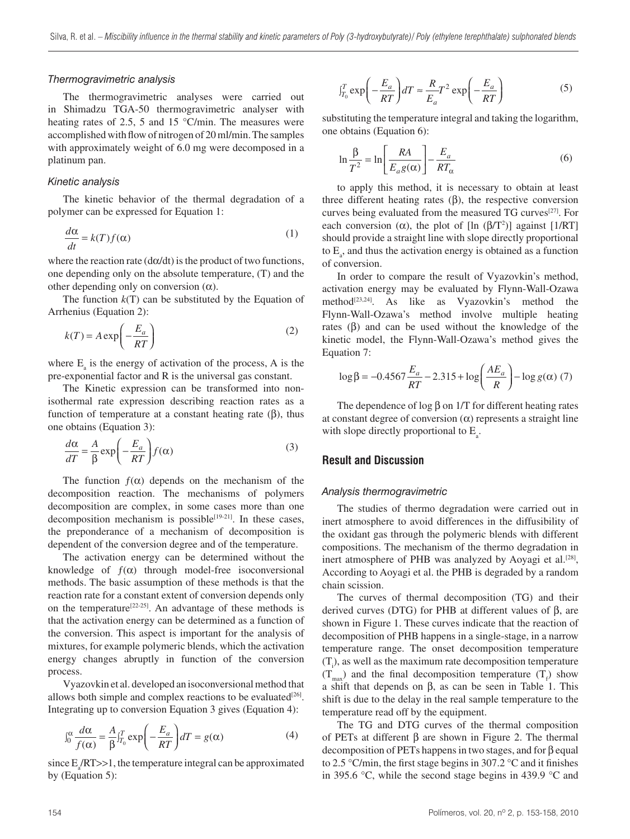#### *Thermogravimetric analysis*

The thermogravimetric analyses were carried out in Shimadzu TGA-50 thermogravimetric analyser with heating rates of 2.5, 5 and 15 °C/min. The measures were accomplished with flow of nitrogen of 20 ml/min. The samples with approximately weight of 6.0 mg were decomposed in a platinum pan.

#### *Kinetic analysis*

The kinetic behavior of the thermal degradation of a polymer can be expressed for Equation 1:

$$
\frac{d\alpha}{dt} = k(T)f(\alpha) \tag{1}
$$

where the reaction rate  $(d\alpha/dt)$  is the product of two functions, one depending only on the absolute temperature, (T) and the other depending only on conversion  $(α)$ .

The function  $k(T)$  can be substituted by the Equation of Arrhenius (Equation 2):

$$
k(T) = A \exp\left(-\frac{E_a}{RT}\right) \tag{2}
$$

where  $E_a$  is the energy of activation of the process, A is the pre-exponential factor and R is the universal gas constant.

The Kinetic expression can be transformed into nonisothermal rate expression describing reaction rates as a function of temperature at a constant heating rate  $(\beta)$ , thus one obtains (Equation 3):

$$
\frac{d\alpha}{dT} = \frac{A}{\beta} \exp\left(-\frac{E_a}{RT}\right) f(\alpha) \tag{3}
$$

The function  $f(\alpha)$  depends on the mechanism of the decomposition reaction. The mechanisms of polymers decomposition are complex, in some cases more than one decomposition mechanism is possible $[19-21]$ . In these cases, the preponderance of a mechanism of decomposition is dependent of the conversion degree and of the temperature.

The activation energy can be determined without the knowledge of  $f(\alpha)$  through model-free isoconversional methods. The basic assumption of these methods is that the reaction rate for a constant extent of conversion depends only on the temperature<sup>[22-25]</sup>. An advantage of these methods is that the activation energy can be determined as a function of the conversion. This aspect is important for the analysis of mixtures, for example polymeric blends, which the activation energy changes abruptly in function of the conversion process.

Vyazovkin et al. developed an isoconversional method that allows both simple and complex reactions to be evaluated $[26]$ . Integrating up to conversion Equation 3 gives (Equation 4):

$$
\int_0^{\alpha} \frac{d\alpha}{f(\alpha)} = \frac{A}{\beta} \int_{T_0}^{T} \exp\left(-\frac{E_a}{RT}\right) dT = g(\alpha)
$$
 (4)

since  $E_{a}$ /RT>>1, the temperature integral can be approximated by (Equation 5):

$$
\mathbf{J}_{T_0}^T \exp\left(-\frac{E_a}{RT}\right) dT \approx \frac{R}{E_a} T^2 \exp\left(-\frac{E_a}{RT}\right) \tag{5}
$$

substituting the temperature integral and taking the logarithm, one obtains (Equation 6):

$$
\ln \frac{\beta}{T^2} = \ln \left[ \frac{RA}{E_a g(\alpha)} \right] - \frac{E_a}{RT_\alpha} \tag{6}
$$

to apply this method, it is necessary to obtain at least three different heating rates  $(\beta)$ , the respective conversion curves being evaluated from the measured TG curves<sup>[27]</sup>. For each conversion ( $\alpha$ ), the plot of [ln ( $\beta$ /T<sup>2</sup>)] against [1/RT] should provide a straight line with slope directly proportional to  $E_a$ , and thus the activation energy is obtained as a function of conversion.

In order to compare the result of Vyazovkin's method, activation energy may be evaluated by Flynn-Wall-Ozawa method<sup>[23,24]</sup>. As like as Vyazovkin's method the Flynn-Wall-Ozawa's method involve multiple heating rates  $(\beta)$  and can be used without the knowledge of the kinetic model, the Flynn-Wall-Ozawa's method gives the Equation 7:

$$
\log \beta = -0.4567 \frac{E_a}{RT} - 2.315 + \log \left( \frac{AE_a}{R} \right) - \log g(\alpha) \tag{7}
$$

The dependence of log  $\beta$  on 1/T for different heating rates at constant degree of conversion  $(\alpha)$  represents a straight line with slope directly proportional to  $E_a$ .

## **Result and Discussion**

#### *Analysis thermogravimetric*

The studies of thermo degradation were carried out in inert atmosphere to avoid differences in the diffusibility of the oxidant gas through the polymeric blends with different compositions. The mechanism of the thermo degradation in inert atmosphere of PHB was analyzed by Aoyagi et al.<sup>[28]</sup>, According to Aoyagi et al. the PHB is degraded by a random chain scission.

The curves of thermal decomposition (TG) and their derived curves (DTG) for PHB at different values of β, are shown in Figure 1. These curves indicate that the reaction of decomposition of PHB happens in a single-stage, in a narrow temperature range. The onset decomposition temperature  $(T<sub>i</sub>)$ , as well as the maximum rate decomposition temperature  $(T<sub>max</sub>)$  and the final decomposition temperature  $(T<sub>f</sub>)$  show a shift that depends on β, as can be seen in Table 1. This shift is due to the delay in the real sample temperature to the temperature read off by the equipment.

The TG and DTG curves of the thermal composition of PETs at different β are shown in Figure 2. The thermal decomposition of PETs happens in two stages, and for β equal to 2.5 °C/min, the first stage begins in 307.2 °C and it finishes in 395.6 °C, while the second stage begins in 439.9 °C and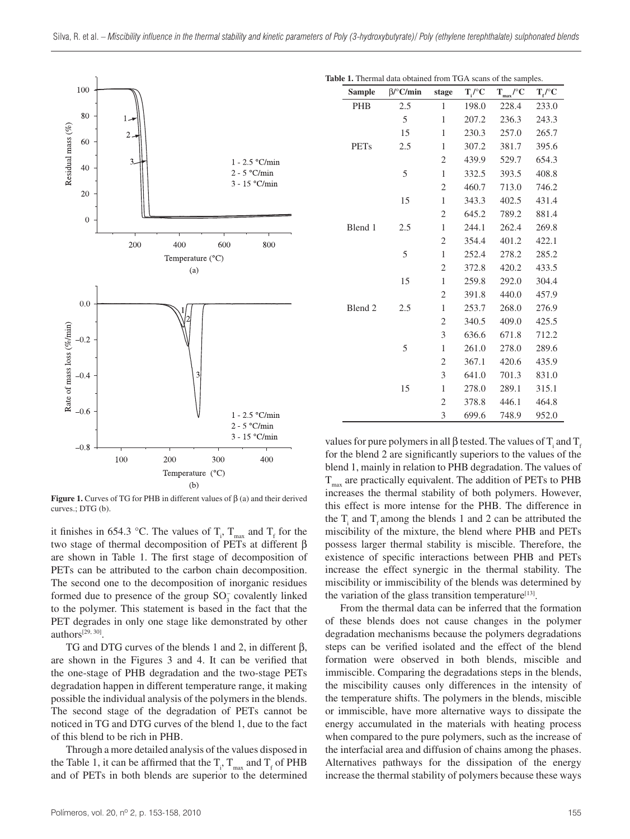

**Figure 1.** Curves of TG for PHB in different values of β (a) and their derived curves.; DTG (b).

it finishes in 654.3 °C. The values of  $T_i$ ,  $T_{max}$  and  $T_f$  for the two stage of thermal decomposition of PETs at different β are shown in Table 1. The first stage of decomposition of PETs can be attributed to the carbon chain decomposition. The second one to the decomposition of inorganic residues formed due to presence of the group  $SO_3^-$  covalently linked to the polymer. This statement is based in the fact that the PET degrades in only one stage like demonstrated by other authors[29, 30].

TG and DTG curves of the blends 1 and 2, in different β, are shown in the Figures 3 and 4. It can be verified that the one-stage of PHB degradation and the two-stage PETs degradation happen in different temperature range, it making possible the individual analysis of the polymers in the blends. The second stage of the degradation of PETs cannot be noticed in TG and DTG curves of the blend 1, due to the fact of this blend to be rich in PHB.

Through a more detailed analysis of the values disposed in the Table 1, it can be affirmed that the  $T_i$ ,  $T_{max}$  and  $T_f$  of PHB and of PETs in both blends are superior to the determined

Table 1. Thermal data obtained from TGA scans of the samples

| <b>Sample</b>      | $\beta$ /°C/min | stage        | $T_i$ /°C | $\mathbf{T}_{\text{max}}{}'^\circ \mathbf{C}$ | $T_f{}^{O}C$ |
|--------------------|-----------------|--------------|-----------|-----------------------------------------------|--------------|
| <b>PHB</b>         | 2.5             | 1            | 198.0     | 228.4                                         | 233.0        |
|                    | 5               | $\mathbf{1}$ | 207.2     | 236.3                                         | 243.3        |
|                    | 15              | $\mathbf{1}$ | 230.3     | 257.0                                         | 265.7        |
| <b>PETs</b>        | 2.5             | $\mathbf{1}$ | 307.2     | 381.7                                         | 395.6        |
|                    |                 | 2            | 439.9     | 529.7                                         | 654.3        |
|                    | 5               | $\mathbf{1}$ | 332.5     | 393.5                                         | 408.8        |
|                    |                 | 2            | 460.7     | 713.0                                         | 746.2        |
|                    | 15              | $\mathbf{1}$ | 343.3     | 402.5                                         | 431.4        |
|                    |                 | 2            | 645.2     | 789.2                                         | 881.4        |
| Blend 1            | 2.5             | $\mathbf{1}$ | 244.1     | 262.4                                         | 269.8        |
|                    |                 | 2            | 354.4     | 401.2                                         | 422.1        |
|                    | 5               | $\mathbf{1}$ | 252.4     | 278.2                                         | 285.2        |
|                    |                 | 2            | 372.8     | 420.2                                         | 433.5        |
|                    | 15              | $\mathbf{1}$ | 259.8     | 292.0                                         | 304.4        |
|                    |                 | 2            | 391.8     | 440.0                                         | 457.9        |
| Blend <sub>2</sub> | 2.5             | $\mathbf{1}$ | 253.7     | 268.0                                         | 276.9        |
|                    |                 | 2            | 340.5     | 409.0                                         | 425.5        |
|                    |                 | 3            | 636.6     | 671.8                                         | 712.2        |
|                    | 5               | $\mathbf{1}$ | 261.0     | 278.0                                         | 289.6        |
|                    |                 | 2            | 367.1     | 420.6                                         | 435.9        |
|                    |                 | 3            | 641.0     | 701.3                                         | 831.0        |
|                    | 15              | 1            | 278.0     | 289.1                                         | 315.1        |
|                    |                 | 2            | 378.8     | 446.1                                         | 464.8        |
|                    |                 | 3            | 699.6     | 748.9                                         | 952.0        |

values for pure polymers in all β tested. The values of  $T_i$  and  $T_f$ for the blend 2 are significantly superiors to the values of the blend 1, mainly in relation to PHB degradation. The values of  $T<sub>max</sub>$  are practically equivalent. The addition of PETs to PHB increases the thermal stability of both polymers. However, this effect is more intense for the PHB. The difference in the  $T_i$  and  $T_f$  among the blends 1 and 2 can be attributed the miscibility of the mixture, the blend where PHB and PETs possess larger thermal stability is miscible. Therefore, the existence of specific interactions between PHB and PETs increase the effect synergic in the thermal stability. The miscibility or immiscibility of the blends was determined by the variation of the glass transition temperature<sup>[13]</sup>.

From the thermal data can be inferred that the formation of these blends does not cause changes in the polymer degradation mechanisms because the polymers degradations steps can be verified isolated and the effect of the blend formation were observed in both blends, miscible and immiscible. Comparing the degradations steps in the blends, the miscibility causes only differences in the intensity of the temperature shifts. The polymers in the blends, miscible or immiscible, have more alternative ways to dissipate the energy accumulated in the materials with heating process when compared to the pure polymers, such as the increase of the interfacial area and diffusion of chains among the phases. Alternatives pathways for the dissipation of the energy increase the thermal stability of polymers because these ways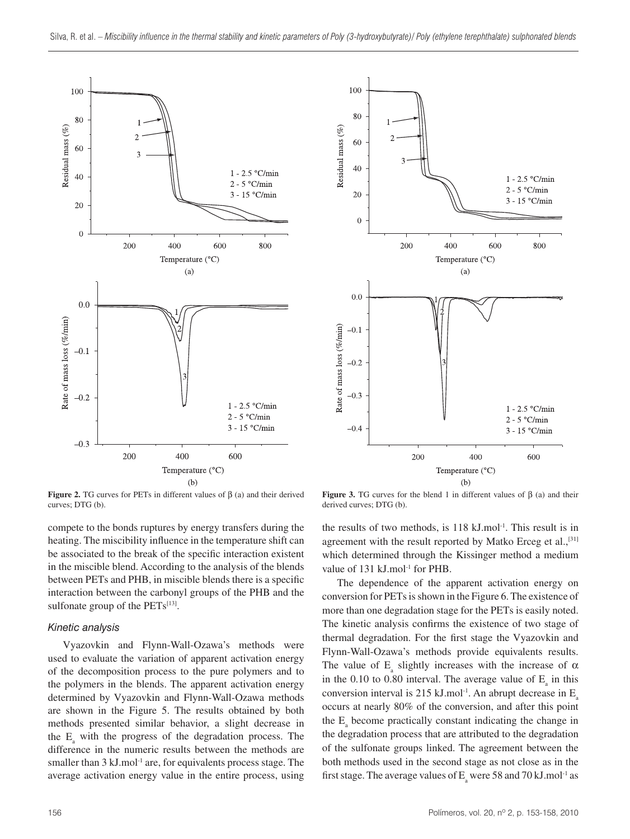



**Figure 2.** TG curves for PETs in different values of  $β$  (a) and their derived curves; DTG (b).

compete to the bonds ruptures by energy transfers during the heating. The miscibility influence in the temperature shift can be associated to the break of the specific interaction existent in the miscible blend. According to the analysis of the blends between PETs and PHB, in miscible blends there is a specific interaction between the carbonyl groups of the PHB and the sulfonate group of the  $PETs^{[13]}$ .

#### *Kinetic analysis*

Vyazovkin and Flynn-Wall-Ozawa's methods were used to evaluate the variation of apparent activation energy of the decomposition process to the pure polymers and to the polymers in the blends. The apparent activation energy determined by Vyazovkin and Flynn-Wall-Ozawa methods are shown in the Figure 5. The results obtained by both methods presented similar behavior, a slight decrease in the  $E_a$  with the progress of the degradation process. The difference in the numeric results between the methods are smaller than  $3 \text{ kJ}$ .mol<sup>-1</sup> are, for equivalents process stage. The average activation energy value in the entire process, using

**Figure 3.** TG curves for the blend 1 in different values of  $\beta$  (a) and their derived curves; DTG (b).

the results of two methods, is 118 kJ.mol-1. This result is in agreement with the result reported by Matko Erceg et al.,<sup>[31]</sup> which determined through the Kissinger method a medium value of 131 kJ.mol<sup>-1</sup> for PHB.

The dependence of the apparent activation energy on conversion for PETs is shown in the Figure 6. The existence of more than one degradation stage for the PETs is easily noted. The kinetic analysis confirms the existence of two stage of thermal degradation. For the first stage the Vyazovkin and Flynn-Wall-Ozawa's methods provide equivalents results. The value of  $E_a$  slightly increases with the increase of  $\alpha$ in the 0.10 to 0.80 interval. The average value of  $E_{a}$  in this conversion interval is 215 kJ.mol<sup>-1</sup>. An abrupt decrease in  $E_a$ occurs at nearly 80% of the conversion, and after this point the  $E_{a}$  become practically constant indicating the change in the degradation process that are attributed to the degradation of the sulfonate groups linked. The agreement between the both methods used in the second stage as not close as in the first stage. The average values of  $E_a$  were 58 and 70 kJ.mol<sup>-1</sup> as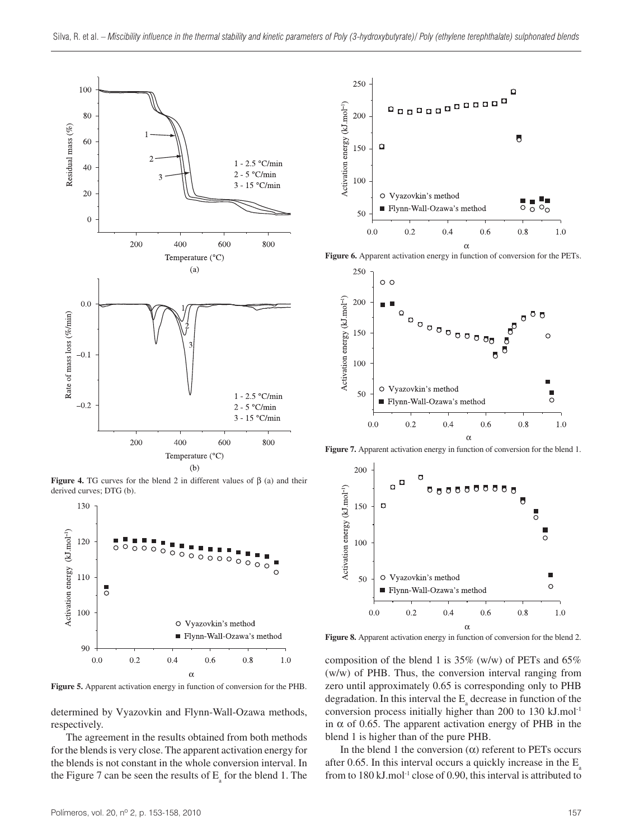

**Figure 4.** TG curves for the blend 2 in different values of  $\beta$  (a) and their derived curves; DTG (b).



**Figure 5.** Apparent activation energy in function of conversion for the PHB.

determined by Vyazovkin and Flynn-Wall-Ozawa methods, respectively.

The agreement in the results obtained from both methods for the blends is very close. The apparent activation energy for the blends is not constant in the whole conversion interval. In the Figure 7 can be seen the results of  $E_{\rm a}$  for the blend 1. The



**Figure 6.** Apparent activation energy in function of conversion for the PETs.



**Figure 7.** Apparent activation energy in function of conversion for the blend 1.



Figure 8. Apparent activation energy in function of conversion for the blend 2.

composition of the blend 1 is  $35\%$  (w/w) of PETs and  $65\%$ (w/w) of PHB. Thus, the conversion interval ranging from zero until approximately 0.65 is corresponding only to PHB degradation. In this interval the  $E_{a}$  decrease in function of the conversion process initially higher than 200 to 130 kJ.mol-1 in α of 0.65. The apparent activation energy of PHB in the blend 1 is higher than of the pure PHB.

In the blend 1 the conversion  $(α)$  referent to PETs occurs after 0.65. In this interval occurs a quickly increase in the  $E_a$ from to  $180 \text{ kJ}$ .mol<sup>-1</sup> close of 0.90, this interval is attributed to